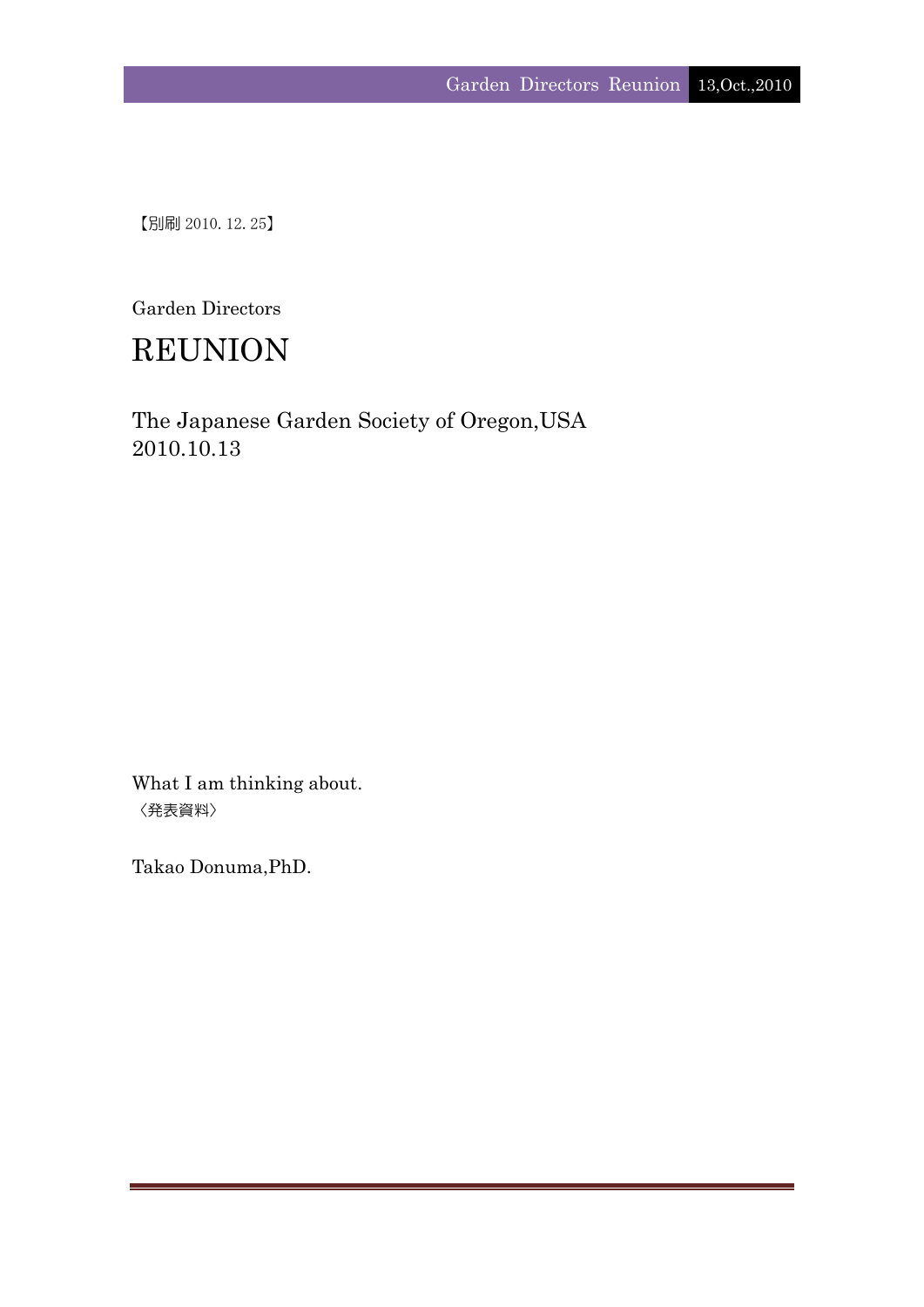【別刷 2010.12.25】

Garden Directors

# REUNION

The Japanese Garden Society of Oregon,USA 2010.10.13

What I am thinking about. 〈発表資料〉

Takao Donuma,PhD.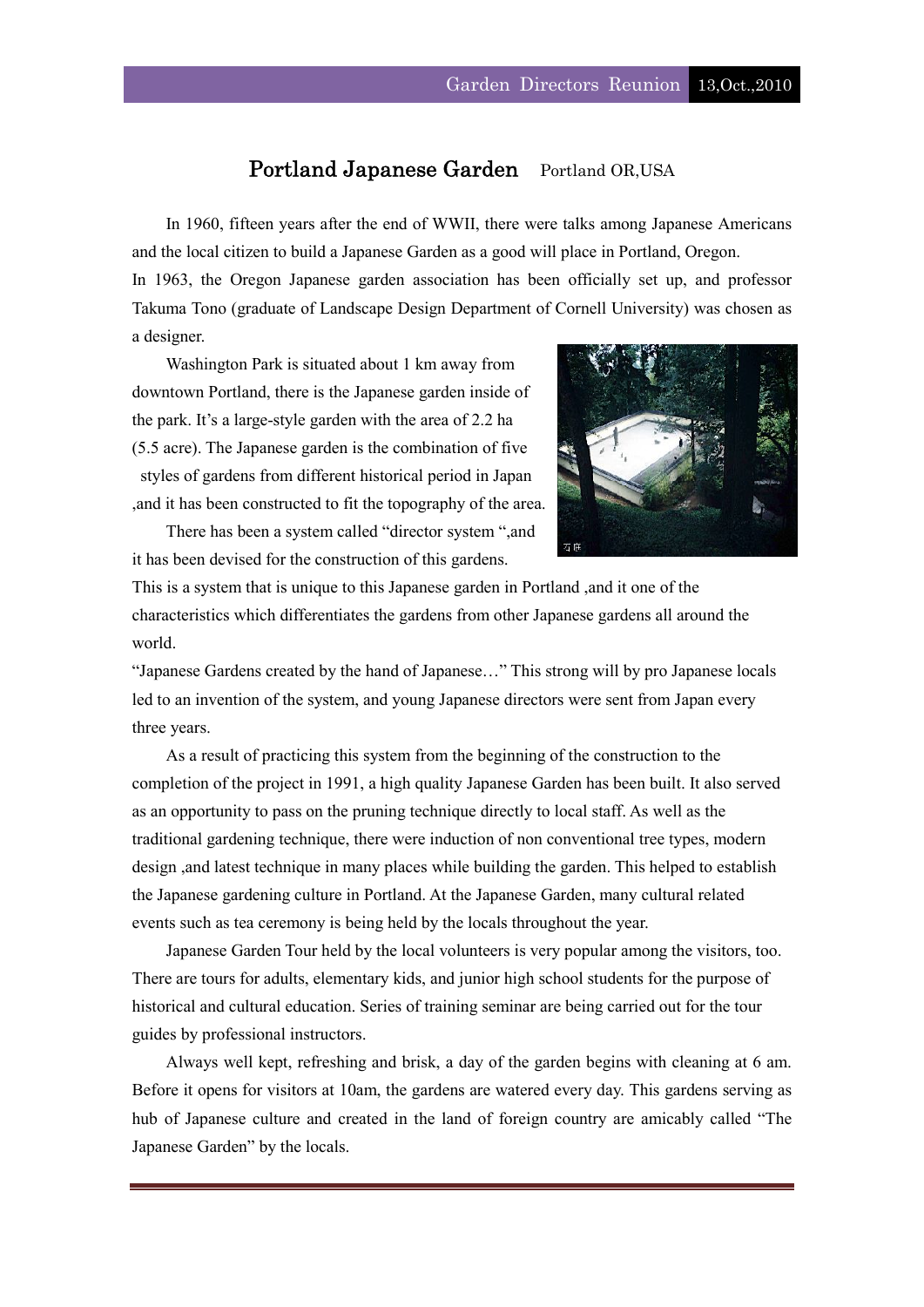## Portland Japanese Garden Portland OR, USA

In 1960, fifteen years after the end of WWII, there were talks among Japanese Americans and the local citizen to build a Japanese Garden as a good will place in Portland, Oregon. In 1963, the Oregon Japanese garden association has been officially set up, and professor

Takuma Tono (graduate of Landscape Design Department of Cornell University) was chosen as a designer.

Washington Park is situated about 1 km away from downtown Portland, there is the Japanese garden inside of the park. It's a large-style garden with the area of 2.2 ha (5.5 acre). The Japanese garden is the combination of five styles of gardens from different historical period in Japan ,and it has been constructed to fit the topography of the area.

There has been a system called "director system ",and it has been devised for the construction of this gardens.



This is a system that is unique to this Japanese garden in Portland ,and it one of the characteristics which differentiates the gardens from other Japanese gardens all around the world.

"Japanese Gardens created by the hand of Japanese…" This strong will by pro Japanese locals led to an invention of the system, and young Japanese directors were sent from Japan every three years.

As a result of practicing this system from the beginning of the construction to the completion of the project in 1991, a high quality Japanese Garden has been built. It also served as an opportunity to pass on the pruning technique directly to local staff. As well as the traditional gardening technique, there were induction of non conventional tree types, modern design ,and latest technique in many places while building the garden. This helped to establish the Japanese gardening culture in Portland. At the Japanese Garden, many cultural related events such as tea ceremony is being held by the locals throughout the year.

Japanese Garden Tour held by the local volunteers is very popular among the visitors, too. There are tours for adults, elementary kids, and junior high school students for the purpose of historical and cultural education. Series of training seminar are being carried out for the tour guides by professional instructors.

Always well kept, refreshing and brisk, a day of the garden begins with cleaning at 6 am. Before it opens for visitors at 10am, the gardens are watered every day. This gardens serving as hub of Japanese culture and created in the land of foreign country are amicably called "The Japanese Garden" by the locals.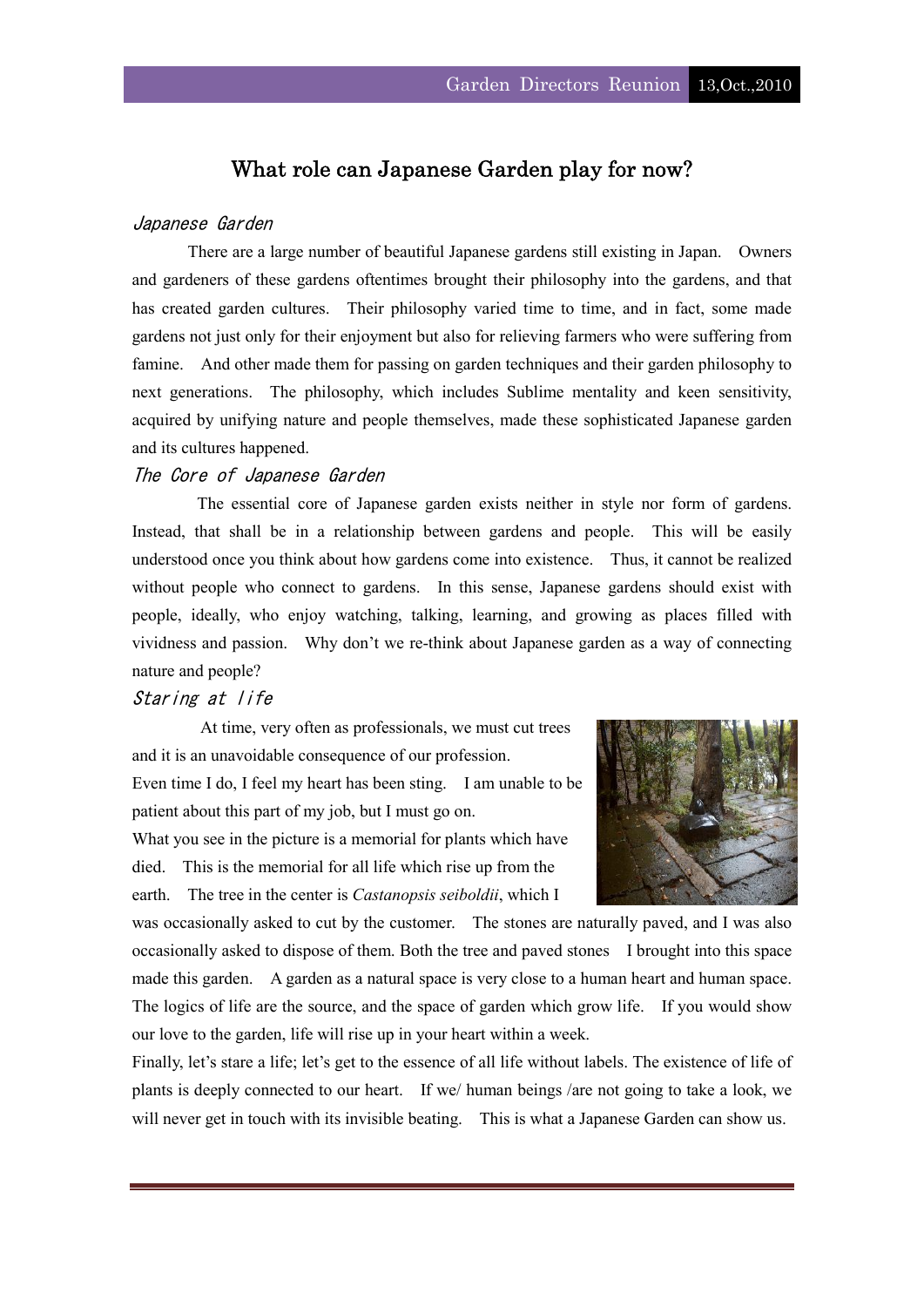## What role can Japanese Garden play for now?

## Japanese Garden

There are a large number of beautiful Japanese gardens still existing in Japan. Owners and gardeners of these gardens oftentimes brought their philosophy into the gardens, and that has created garden cultures. Their philosophy varied time to time, and in fact, some made gardens not just only for their enjoyment but also for relieving farmers who were suffering from famine. And other made them for passing on garden techniques and their garden philosophy to next generations. The philosophy, which includes Sublime mentality and keen sensitivity, acquired by unifying nature and people themselves, made these sophisticated Japanese garden and its cultures happened.

## The Core of Japanese Garden

 The essential core of Japanese garden exists neither in style nor form of gardens. Instead, that shall be in a relationship between gardens and people. This will be easily understood once you think about how gardens come into existence. Thus, it cannot be realized without people who connect to gardens. In this sense, Japanese gardens should exist with people, ideally, who enjoy watching, talking, learning, and growing as places filled with vividness and passion. Why don't we re-think about Japanese garden as a way of connecting nature and people?

## Staring at life

At time, very often as professionals, we must cut trees and it is an unavoidable consequence of our profession.

Even time I do, I feel my heart has been sting. I am unable to be patient about this part of my job, but I must go on.

What you see in the picture is a memorial for plants which have died. This is the memorial for all life which rise up from the earth. The tree in the center is *Castanopsis seiboldii*, which I



was occasionally asked to cut by the customer. The stones are naturally paved, and I was also occasionally asked to dispose of them. Both the tree and paved stones I brought into this space made this garden. A garden as a natural space is very close to a human heart and human space. The logics of life are the source, and the space of garden which grow life. If you would show our love to the garden, life will rise up in your heart within a week.

Finally, let's stare a life; let's get to the essence of all life without labels. The existence of life of plants is deeply connected to our heart. If we/ human beings /are not going to take a look, we will never get in touch with its invisible beating. This is what a Japanese Garden can show us.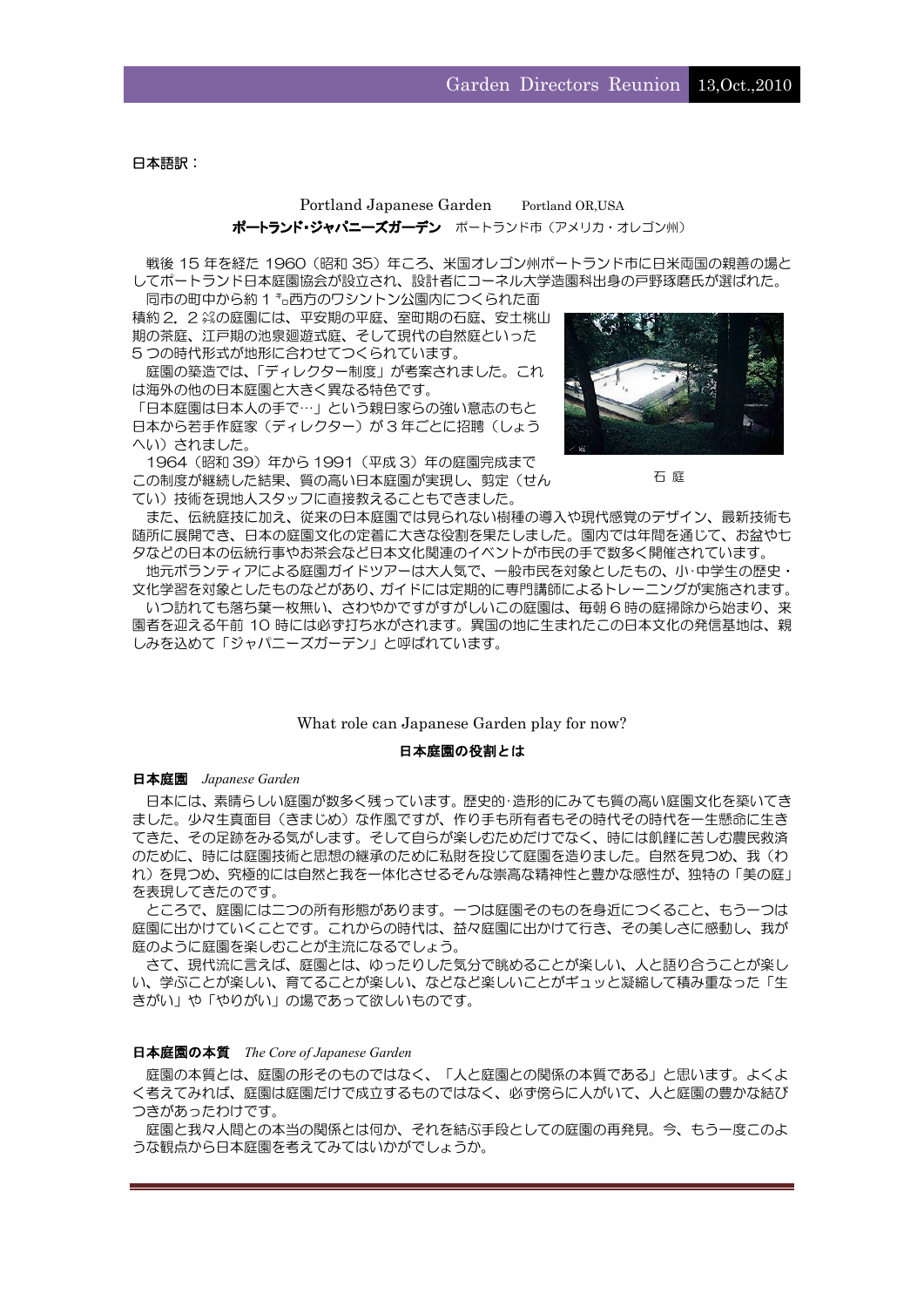日本語訳:

## Portland Japanese Garden Portland OR,USA ポートランド・ジャパニーズガーデン ポートランド市 (アメリカ・オレゴン州)

戦後 15 年を経た 1960 (昭和 35) 年ころ、米国オレゴン州ポートランド市に日米両国の親善の場と してポートランド日本庭園協会が設立され、設計者にコーネル大学造園科出身の戸野琢磨氏が選ばれた。

同市の町中から約 1 ㌔西方のワシントン公園内につくられた面 積約 2.2 ㌶の庭園には、平安期の平庭、室町期の石庭、安土桃山 期の茶庭、江戸期の池泉廻遊式庭、そして現代の自然庭といった 5 つの時代形式が地形に合わせてつくられています。

庭園の築造では、「ディレクター制度」が考案されました。これ は海外の他の日本庭園と大きく異なる特色です。

「日本庭園は日本人の手で…」という親日家らの強い意志のもと 日本から若手作庭家(ディレクター)が3年ごとに招聘(しょう) へい)されました。

1964(昭和 39)年から 1991(平成 3)年の庭園完成まで この制度が継続した結果、質の高い日本庭園が実現し、剪定(せん てい)技術を現地人スタッフに直接教えることもできました。



石 庭

また、伝統庭技に加え、従来の日本庭園では見られない樹種の導入や現代感覚のデザイン、最新技術も 随所に展開でき、日本の庭園文化の定着に大きな役割を果たしました。園内では年間を通じて、お盆や七 夕などの日本の伝統行事やお茶会など日本文化関連のイベントが市民の手で数多く開催されています。

地元ボランティアによる庭園ガイドツアーは大人気で、一般市民を対象としたもの、小・中学生の歴史・ 文化学習を対象としたものなどがあり、ガイドには定期的に専門講師によるトレーニングが実施されます。 いつ訪れても落ち葉一枚無い、さわやかですがすがしいこの庭園は、毎朝 6 時の庭掃除から始まり、来 園者を迎える午前 10 時には必ず打ち水がされます。異国の地に生まれたこの日本文化の発信基地は、親 しみを込めて「ジャパニーズガーデン」と呼ばれています。

#### What role can Japanese Garden play for now?

#### 日本庭園の役割とは

日本庭園 *Japanese Garden* 

日本には、素晴らしい庭園が数多く残っています。歴史的・造形的にみても質の高い庭園文化を築いてき ました。少々生真面目(きまじめ)な作風ですが、作り手も所有者もその時代その時代を一生懸命に生き てきた、その足跡をみる気がします。そして自らが楽しむためだけでなく、時には飢饉に苦しむ農民救済 のために、時には庭園技術と思想の継承のために私財を投じて庭園を造りました。自然を見つめ、我(わ れ)を見つめ、究極的には自然と我を一体化させるそんな崇高な精神性と豊かな感性が、独特の「美の庭」 を表現してきたのです。

ところで、庭園には二つの所有形態があります。一つは庭園そのものを身近につくること、もう一つは 庭園に出かけていくことです。これからの時代は、益々庭園に出かけて行き、その美しさに感動し、我が 庭のように庭園を楽しむことが主流になるでしょう。

さて、現代流に言えば、庭園とは、ゆったりした気分で眺めることが楽しい、人と語り合うことが楽し い、学ぶことが楽しい、育てることが楽しい、などなど楽しいことがギュッと凝縮して積み重なった「生 きがい」や「やりがい」の場であって欲しいものです。

#### 日本庭園の本質 *The Core of Japanese Garden*

庭園の本質とは、庭園の形そのものではなく、「人と庭園との関係の本質である」と思います。よくよ く考えてみれば、庭園は庭園だけで成立するものではなく、必ず傍らに人がいて、人と庭園の豊かな結び つきがあったわけです。

庭園と我々人間との本当の関係とは何か、それを結ぶ手段としての庭園の再発見。今、もう一度このよ うな観点から日本庭園を考えてみてはいかがでしょうか。